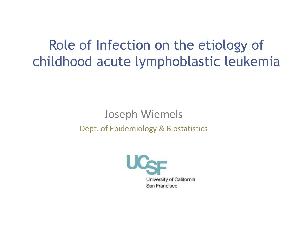Role of Infection on the etiology of childhood acute lymphoblastic leukemia

#### Joseph Wiemels Dept. of Epidemiology & Biostatistics

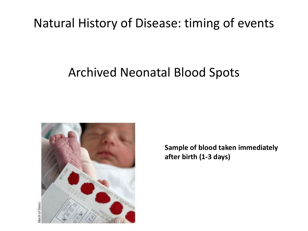### Natural History of Disease: timing of events

### Archived Neonatal Blood Spots



**Sample of blood taken immediately after birth (1-3 days)**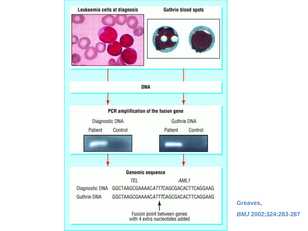

**Greaves,**

*BMJ* **2002;324:283-287**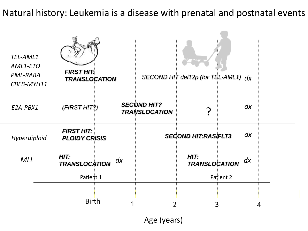Natural history: Leukemia is a disease with prenatal and postnatal events

| TEL-AML1<br>AML1-ETO<br>PML-RARA<br>CBFB-MYH11 | <b>FIRST HIT:</b><br><b>TRANSLOCATION</b> |    |                                            | SECOND HIT del12p (for TEL-AML1) $dx$ |           |   |
|------------------------------------------------|-------------------------------------------|----|--------------------------------------------|---------------------------------------|-----------|---|
| E2A-PBX1                                       | (FIRST HIT?)                              |    | <b>SECOND HIT?</b><br><b>TRANSLOCATION</b> |                                       | dx        |   |
| Hyperdiploid                                   | <b>FIRST HIT:</b><br><b>PLOIDY CRISIS</b> |    |                                            | <b>SECOND HIT:RAS/FLT3</b>            | dx        |   |
| <b>MLL</b>                                     | HIT:<br><b>TRANSLOCATION</b>              | dx |                                            | HIT:<br><b>TRANSLOCATION</b>          | dx        |   |
|                                                | Patient 1                                 |    |                                            |                                       | Patient 2 |   |
|                                                | <b>Birth</b>                              | 1  | 2                                          |                                       | 3         | 4 |

Age (years)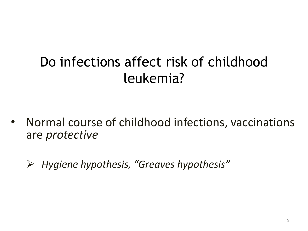# Do infections affect risk of childhood leukemia?

- Normal course of childhood infections, vaccinations are *protective* 
	- *Hygiene hypothesis, "Greaves hypothesis"*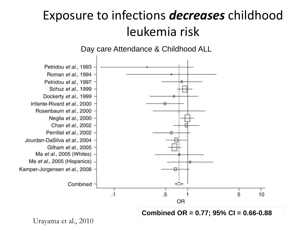## Exposure to infections *decreases* childhood leukemia risk



Urayama et al., 2010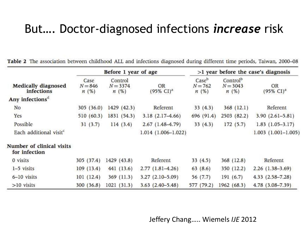### But…. Doctor-diagnosed infections *increase* risk

|                                                 | Before 1 year of age      |                               |                                    | $>1$ year before the case's diagnosis |                                            |                             |
|-------------------------------------------------|---------------------------|-------------------------------|------------------------------------|---------------------------------------|--------------------------------------------|-----------------------------|
| <b>Medically diagnosed</b><br><b>infections</b> | Case<br>$N = 846$<br>n(%) | Control<br>$N = 3374$<br>n(%) | <b>OR</b><br>$(95\% \text{ CI})^a$ | Caseb<br>$N = 762$<br>n(%)            | Control <sup>b</sup><br>$N = 3043$<br>n(%) | OR<br>$(95\% \text{ CI})^a$ |
| Any infections <sup>a</sup>                     |                           |                               |                                    |                                       |                                            |                             |
| No                                              | 305 (36.0)                | 1429(42.3)                    | Referent                           | 33(4.3)                               | 368(12.1)                                  | Referent                    |
| Yes                                             | 510 (60.3)                | 1831 (54.3)                   | $3.18(2.17 - 4.66)$                | 696 (91.4)                            | 2503 (82.2)                                | $3.90(2.61 - 5.81)$         |
| Possible                                        | 31(3.7)                   | 114(3.4)                      | $2.67(1.48-4.79)$                  | 33(4.3)                               | 172(5.7)                                   | $1.83(1.05-3.17)$           |
| Each additional visit <sup>c</sup>              |                           |                               | $1.014(1.006 - 1.022)$             |                                       |                                            | $1.003$ $(1.001 - 1.005)$   |
| Number of clinical visits<br>for infection      |                           |                               |                                    |                                       |                                            |                             |
| 0 visits                                        | 305 (37.4)                | 1429 (43.8)                   | Referent                           | 33(4.5)                               | 368(12.8)                                  | Referent                    |
| 1-5 visits                                      | 109(13.4)                 | 441(13.6)                     | $2.77(1.81-4.26)$                  | 63(8.6)                               | 350 (12.2)                                 | $2.26(1.38-3.69)$           |
| 6-10 visits                                     | 101(12.4)                 | 369 (11.3)                    | $3.27(2.10-5.09)$                  | 56 (7.7)                              | 191(6.7)                                   | $4.33$ $(2.58 - 7.28)$      |
| $>10$ visits                                    | 300(36.8)                 | 1021(31.3)                    | $3.63(2.40-5.48)$                  | 577 (79.2)                            | 1962 (68.3)                                | 4.78 (3.08-7.39)            |

Table 2 The association between childhood ALL and infections diagnosed during different time periods, Taiwan, 2000-08

Jeffery Chang….. Wiemels *IJE* 2012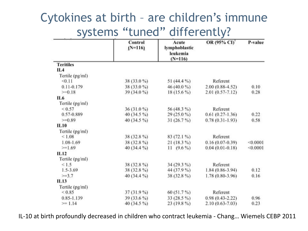### Cytokines at birth – are children's immune systems "tuned" differently?

|                  | Control<br>$(N=116)$ | Acute<br>lymphoblastic<br>leukemia<br>$(N=116)$ | OR (95% CI)         | P-value  |
|------------------|----------------------|-------------------------------------------------|---------------------|----------|
| <b>Teritiles</b> |                      |                                                 |                     |          |
| IL 4             |                      |                                                 |                     |          |
| Tertile (pg/ml)  |                      |                                                 |                     |          |
| < 0.11           | 38 (33.0 %)          | 51 $(44.4\%$                                    | Referent            |          |
| $0.11 - 0.179$   | 38 (33.0 %)          | 46 (40.0 %)                                     | $2.00(0.88-4.52)$   | 0.10     |
| $>=0.18$         | $39(34.0\%)$         | $18(15.6\%)$                                    | $2.01(0.57 - 7.12)$ | 0.28     |
| IL 6             |                      |                                                 |                     |          |
| Tertile (pg/ml)  |                      |                                                 |                     |          |
| ${}_{0.57}$      | $36(31.0\%)$         | 56 (48.3 %)                                     | Referent            |          |
| 0.57-0.889       | 40 $(34.5\%)$        | $29(25.0\%)$                                    | $0.61(0.27-1.36)$   | 0.22     |
| $>=0.89$         | 40 (34.5 %)          | $31(26.7\%)$                                    | $0.78(0.31-1.93)$   | 0.58     |
| IL10             |                      |                                                 |                     |          |
| Tertile (pg/ml)  |                      |                                                 |                     |          |
| ${}_{< 1.08}$    | 38 (32.8 %)          | 83 (72.1 %)                                     | Referent            |          |
| 1.08-1.69        | 38 (32.8%)           | $21(18.3\%)$                                    | $0.16(0.07-0.39)$   | < 0.0001 |
| $>=1.69$         | 40 $(34.4\%$         | $11(9.6\%)$                                     | $0.04(0.01-0.18)$   | < 0.0001 |
| IL12             |                      |                                                 |                     |          |
| Tertile (pg/ml)  |                      |                                                 |                     |          |
| < 1.5            | 38 (32.8%)           | $34(29.3\%)$                                    | Referent            |          |
| $1.5 - 3.69$     | 38 (32.8 %)          | 44 (37.9 %)                                     | $1.84(0.86-3.94)$   | 0.12     |
| $>=3.7$          | 40 (34.4 %)          | 38 (32.8 %)                                     | 1.78 (0.80-3.96)    | 0.16     |
| IL13             |                      |                                                 |                     |          |
| Tertile (pg/ml)  |                      |                                                 |                     |          |
| ${}_{< 0.85}$    | $37(31.9\%)$         | $60(51.7\%)$                                    | Referent            |          |
| 0.85-1.139       | 39 (33.6 %)          | $33(28.5\%)$                                    | $0.98(0.43 - 2.22)$ | 0.96     |
| $>= 1.14$        | 40 (34.5 %)          | $23(19.8\%)$                                    | 2.10 (0.63-7.03)    | 0.23     |

IL-10 at birth profoundly decreased in children who contract leukemia - Chang… Wiemels CEBP 2011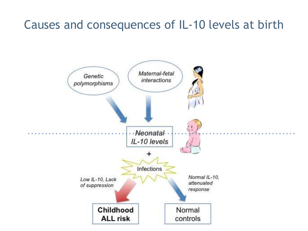### Causes and consequences of IL-10 levels at birth